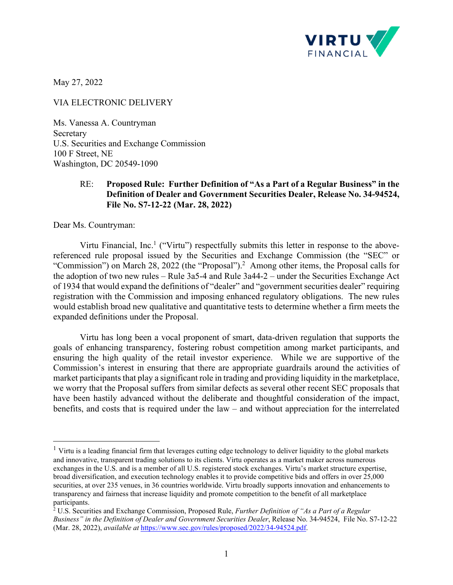

May 27, 2022

VIA ELECTRONIC DELIVERY

Ms. Vanessa A. Countryman Secretary U.S. Securities and Exchange Commission 100 F Street, NE Washington, DC 20549-1090

## RE: **Proposed Rule: Further Definition of "As a Part of a Regular Business" in the Definition of Dealer and Government Securities Dealer, Release No. 34-94524, File No. S7-12-22 (Mar. 28, 2022)**

Dear Ms. Countryman:

Virtu Financial, Inc.<sup>1</sup> ("Virtu") respectfully submits this letter in response to the abovereferenced rule proposal issued by the Securities and Exchange Commission (the "SEC" or "Commission") on March 28, 2022 (the "Proposal").<sup>2</sup> Among other items, the Proposal calls for the adoption of two new rules – Rule 3a5-4 and Rule 3a44-2 – under the Securities Exchange Act of 1934 that would expand the definitions of "dealer" and "government securities dealer" requiring registration with the Commission and imposing enhanced regulatory obligations. The new rules would establish broad new qualitative and quantitative tests to determine whether a firm meets the expanded definitions under the Proposal.

Virtu has long been a vocal proponent of smart, data-driven regulation that supports the goals of enhancing transparency, fostering robust competition among market participants, and ensuring the high quality of the retail investor experience. While we are supportive of the Commission's interest in ensuring that there are appropriate guardrails around the activities of market participants that play a significant role in trading and providing liquidity in the marketplace, we worry that the Proposal suffers from similar defects as several other recent SEC proposals that have been hastily advanced without the deliberate and thoughtful consideration of the impact, benefits, and costs that is required under the law – and without appreciation for the interrelated

<sup>&</sup>lt;sup>1</sup> Virtu is a leading financial firm that leverages cutting edge technology to deliver liquidity to the global markets and innovative, transparent trading solutions to its clients. Virtu operates as a market maker across numerous exchanges in the U.S. and is a member of all U.S. registered stock exchanges. Virtu's market structure expertise, broad diversification, and execution technology enables it to provide competitive bids and offers in over 25,000 securities, at over 235 venues, in 36 countries worldwide. Virtu broadly supports innovation and enhancements to transparency and fairness that increase liquidity and promote competition to the benefit of all marketplace participants.

<sup>2</sup> U.S. Securities and Exchange Commission, Proposed Rule, *Further Definition of "As a Part of a Regular Business" in the Definition of Dealer and Government Securities Dealer*, Release No. 34-94524, File No. S7-12-22 (Mar. 28, 2022), *available at* https://www.sec.gov/rules/proposed/2022/34-94524.pdf.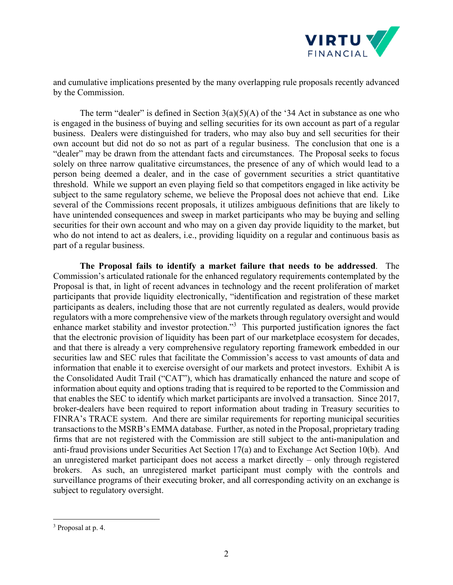

and cumulative implications presented by the many overlapping rule proposals recently advanced by the Commission.

The term "dealer" is defined in Section  $3(a)(5)(A)$  of the '34 Act in substance as one who is engaged in the business of buying and selling securities for its own account as part of a regular business. Dealers were distinguished for traders, who may also buy and sell securities for their own account but did not do so not as part of a regular business. The conclusion that one is a "dealer" may be drawn from the attendant facts and circumstances. The Proposal seeks to focus solely on three narrow qualitative circumstances, the presence of any of which would lead to a person being deemed a dealer, and in the case of government securities a strict quantitative threshold. While we support an even playing field so that competitors engaged in like activity be subject to the same regulatory scheme, we believe the Proposal does not achieve that end. Like several of the Commissions recent proposals, it utilizes ambiguous definitions that are likely to have unintended consequences and sweep in market participants who may be buying and selling securities for their own account and who may on a given day provide liquidity to the market, but who do not intend to act as dealers, i.e., providing liquidity on a regular and continuous basis as part of a regular business.

**The Proposal fails to identify a market failure that needs to be addressed**. The Commission's articulated rationale for the enhanced regulatory requirements contemplated by the Proposal is that, in light of recent advances in technology and the recent proliferation of market participants that provide liquidity electronically, "identification and registration of these market participants as dealers, including those that are not currently regulated as dealers, would provide regulators with a more comprehensive view of the markets through regulatory oversight and would enhance market stability and investor protection."<sup>3</sup> This purported justification ignores the fact that the electronic provision of liquidity has been part of our marketplace ecosystem for decades, and that there is already a very comprehensive regulatory reporting framework embedded in our securities law and SEC rules that facilitate the Commission's access to vast amounts of data and information that enable it to exercise oversight of our markets and protect investors. Exhibit A is the Consolidated Audit Trail ("CAT"), which has dramatically enhanced the nature and scope of information about equity and options trading that is required to be reported to the Commission and that enables the SEC to identify which market participants are involved a transaction. Since 2017, broker-dealers have been required to report information about trading in Treasury securities to FINRA's TRACE system. And there are similar requirements for reporting municipal securities transactions to the MSRB's EMMA database. Further, as noted in the Proposal, proprietary trading firms that are not registered with the Commission are still subject to the anti-manipulation and anti-fraud provisions under Securities Act Section 17(a) and to Exchange Act Section 10(b). And an unregistered market participant does not access a market directly – only through registered brokers. As such, an unregistered market participant must comply with the controls and surveillance programs of their executing broker, and all corresponding activity on an exchange is subject to regulatory oversight.

<sup>&</sup>lt;sup>3</sup> Proposal at p. 4.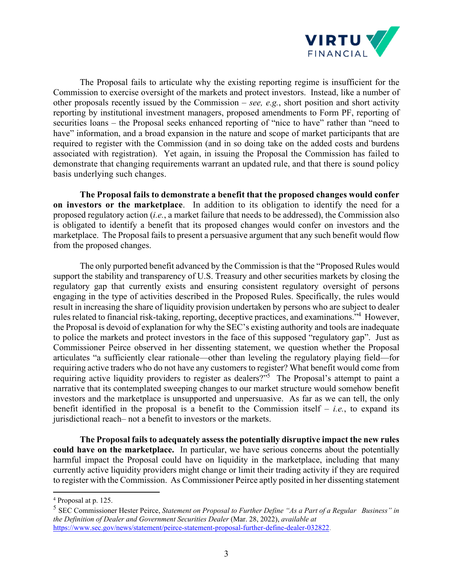

The Proposal fails to articulate why the existing reporting regime is insufficient for the Commission to exercise oversight of the markets and protect investors. Instead, like a number of other proposals recently issued by the Commission – *see, e.g.*, short position and short activity reporting by institutional investment managers, proposed amendments to Form PF, reporting of securities loans – the Proposal seeks enhanced reporting of "nice to have" rather than "need to have" information, and a broad expansion in the nature and scope of market participants that are required to register with the Commission (and in so doing take on the added costs and burdens associated with registration). Yet again, in issuing the Proposal the Commission has failed to demonstrate that changing requirements warrant an updated rule, and that there is sound policy basis underlying such changes.

**The Proposal fails to demonstrate a benefit that the proposed changes would confer on investors or the marketplace**. In addition to its obligation to identify the need for a proposed regulatory action (*i.e.*, a market failure that needs to be addressed), the Commission also is obligated to identify a benefit that its proposed changes would confer on investors and the marketplace. The Proposal fails to present a persuasive argument that any such benefit would flow from the proposed changes.

The only purported benefit advanced by the Commission is that the "Proposed Rules would support the stability and transparency of U.S. Treasury and other securities markets by closing the regulatory gap that currently exists and ensuring consistent regulatory oversight of persons engaging in the type of activities described in the Proposed Rules. Specifically, the rules would result in increasing the share of liquidity provision undertaken by persons who are subject to dealer rules related to financial risk-taking, reporting, deceptive practices, and examinations."4 However, the Proposal is devoid of explanation for why the SEC's existing authority and tools are inadequate to police the markets and protect investors in the face of this supposed "regulatory gap". Just as Commissioner Peirce observed in her dissenting statement, we question whether the Proposal articulates "a sufficiently clear rationale—other than leveling the regulatory playing field—for requiring active traders who do not have any customers to register? What benefit would come from requiring active liquidity providers to register as dealers?"<sup>5</sup> The Proposal's attempt to paint a narrative that its contemplated sweeping changes to our market structure would somehow benefit investors and the marketplace is unsupported and unpersuasive. As far as we can tell, the only benefit identified in the proposal is a benefit to the Commission itself  $-$  *i.e.*, to expand its jurisdictional reach– not a benefit to investors or the markets.

**The Proposal fails to adequately assess the potentially disruptive impact the new rules could have on the marketplace.** In particular, we have serious concerns about the potentially harmful impact the Proposal could have on liquidity in the marketplace, including that many currently active liquidity providers might change or limit their trading activity if they are required to register with the Commission. As Commissioner Peirce aptly posited in her dissenting statement

<sup>4</sup> Proposal at p. 125.

<sup>5</sup> SEC Commissioner Hester Peirce, *Statement on Proposal to Further Define "As a Part of a Regular Business" in the Definition of Dealer and Government Securities Dealer* (Mar. 28, 2022), *available at* https://www.sec.gov/news/statement/peirce-statement-proposal-further-define-dealer-032822.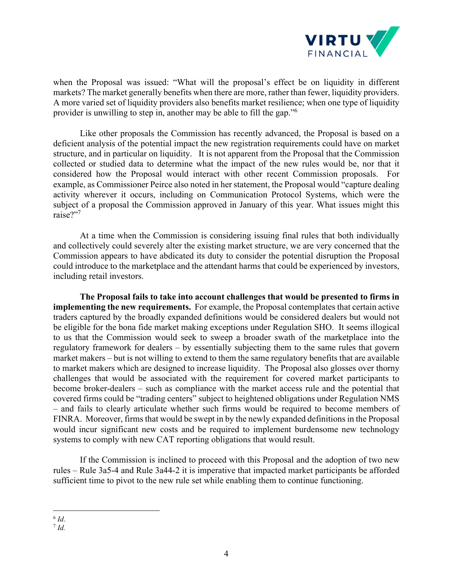

when the Proposal was issued: "What will the proposal's effect be on liquidity in different markets? The market generally benefits when there are more, rather than fewer, liquidity providers. A more varied set of liquidity providers also benefits market resilience; when one type of liquidity provider is unwilling to step in, another may be able to fill the gap."6

Like other proposals the Commission has recently advanced, the Proposal is based on a deficient analysis of the potential impact the new registration requirements could have on market structure, and in particular on liquidity. It is not apparent from the Proposal that the Commission collected or studied data to determine what the impact of the new rules would be, nor that it considered how the Proposal would interact with other recent Commission proposals. For example, as Commissioner Peirce also noted in her statement, the Proposal would "capture dealing activity wherever it occurs, including on Communication Protocol Systems, which were the subject of a proposal the Commission approved in January of this year. What issues might this raise?"<sup>7</sup>

At a time when the Commission is considering issuing final rules that both individually and collectively could severely alter the existing market structure, we are very concerned that the Commission appears to have abdicated its duty to consider the potential disruption the Proposal could introduce to the marketplace and the attendant harms that could be experienced by investors, including retail investors.

**The Proposal fails to take into account challenges that would be presented to firms in implementing the new requirements.** For example, the Proposal contemplates that certain active traders captured by the broadly expanded definitions would be considered dealers but would not be eligible for the bona fide market making exceptions under Regulation SHO. It seems illogical to us that the Commission would seek to sweep a broader swath of the marketplace into the regulatory framework for dealers – by essentially subjecting them to the same rules that govern market makers – but is not willing to extend to them the same regulatory benefits that are available to market makers which are designed to increase liquidity. The Proposal also glosses over thorny challenges that would be associated with the requirement for covered market participants to become broker-dealers – such as compliance with the market access rule and the potential that covered firms could be "trading centers" subject to heightened obligations under Regulation NMS – and fails to clearly articulate whether such firms would be required to become members of FINRA. Moreover, firms that would be swept in by the newly expanded definitions in the Proposal would incur significant new costs and be required to implement burdensome new technology systems to comply with new CAT reporting obligations that would result.

If the Commission is inclined to proceed with this Proposal and the adoption of two new rules – Rule 3a5-4 and Rule 3a44-2 it is imperative that impacted market participants be afforded sufficient time to pivot to the new rule set while enabling them to continue functioning.

 $^{6}$  *Id.*  $^{7}$  *Id.*